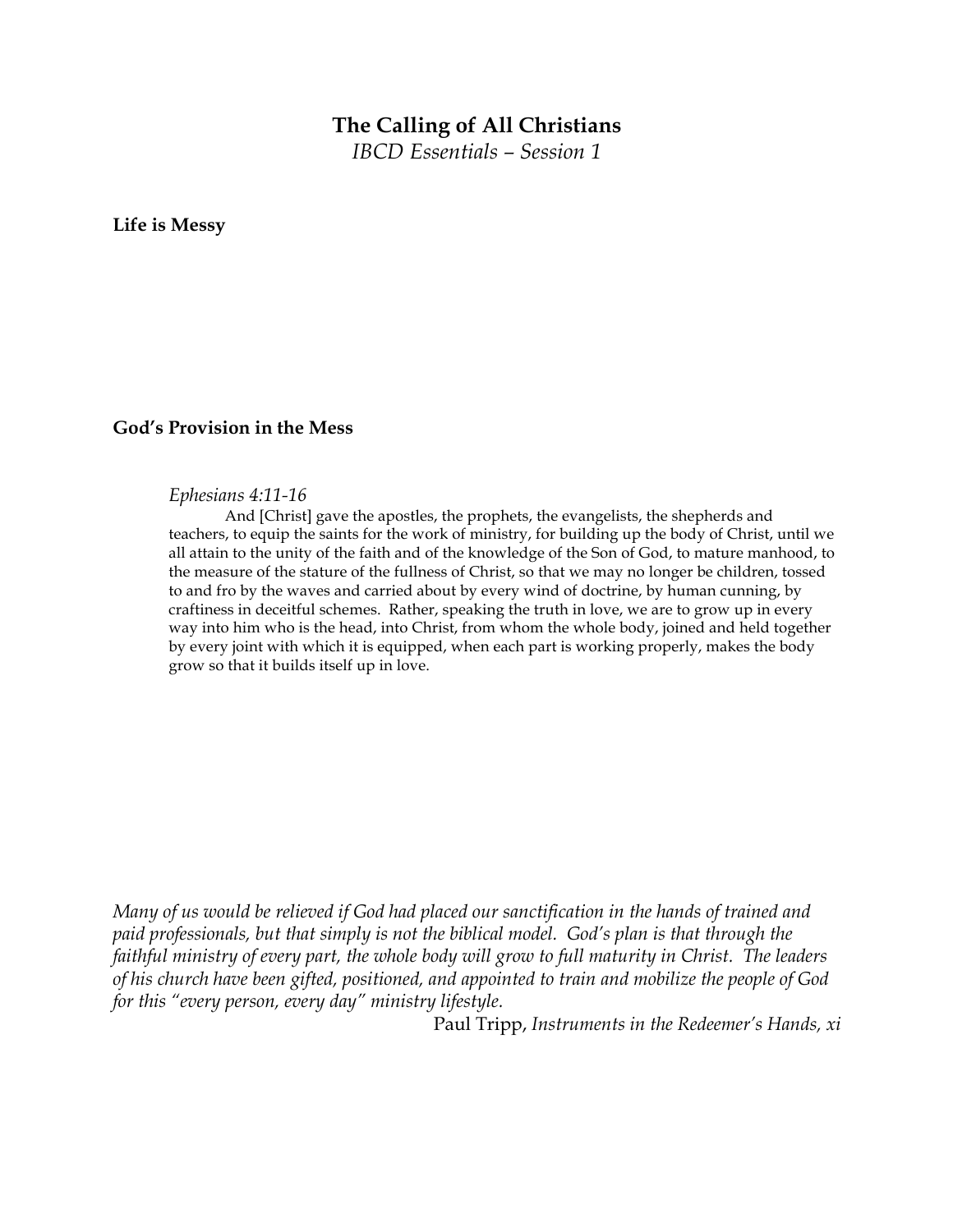## **The Calling of All Christians**

*IBCD Essentials – Session 1*

**Life is Messy**

## **God's Provision in the Mess**

## *Ephesians 4:11-16*

And [Christ] gave the apostles, the prophets, the evangelists, the shepherds and teachers, to equip the saints for the work of ministry, for building up the body of Christ, until we all attain to the unity of the faith and of the knowledge of the Son of God, to mature manhood, to the measure of the stature of the fullness of Christ, so that we may no longer be children, tossed to and fro by the waves and carried about by every wind of doctrine, by human cunning, by craftiness in deceitful schemes. Rather, speaking the truth in love, we are to grow up in every way into him who is the head, into Christ, from whom the whole body, joined and held together by every joint with which it is equipped, when each part is working properly, makes the body grow so that it builds itself up in love.

*Many of us would be relieved if God had placed our sanctification in the hands of trained and paid professionals, but that simply is not the biblical model. God's plan is that through the faithful ministry of every part, the whole body will grow to full maturity in Christ. The leaders of his church have been gifted, positioned, and appointed to train and mobilize the people of God for this "every person, every day" ministry lifestyle.* 

Paul Tripp, *Instruments in the Redeemer's Hands, xi*